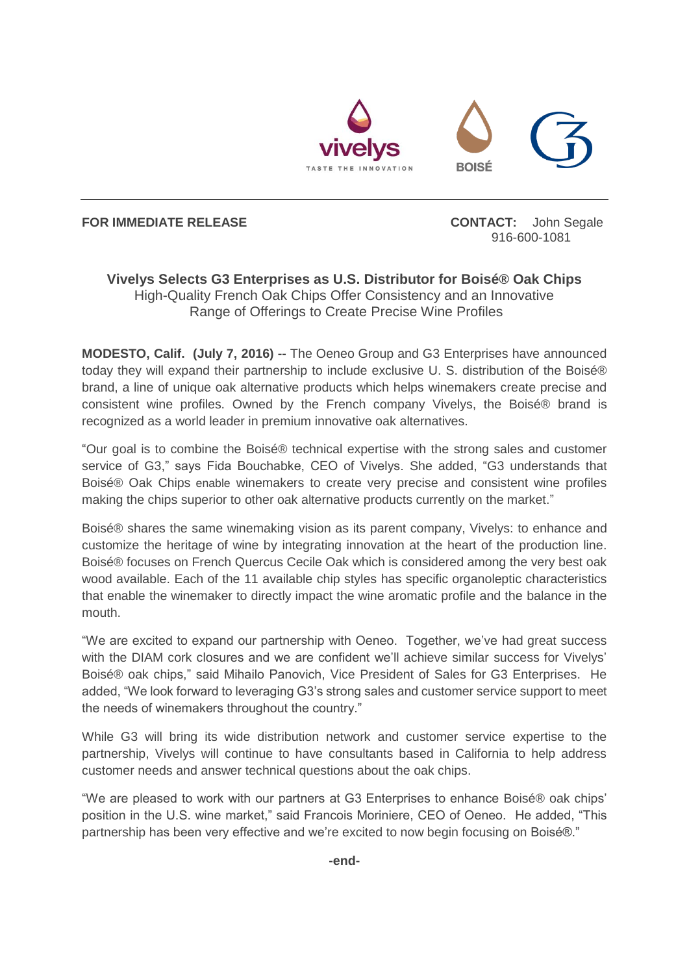

**FOR IMMEDIATE RELEASE CONTACT:** John Segale

916-600-1081

## **Vivelys Selects G3 Enterprises as U.S. Distributor for Boisé® Oak Chips** High-Quality French Oak Chips Offer Consistency and an Innovative Range of Offerings to Create Precise Wine Profiles

**MODESTO, Calif. (July 7, 2016) --** The Oeneo Group and G3 Enterprises have announced today they will expand their partnership to include exclusive U. S. distribution of the Boisé® brand, a line of unique oak alternative products which helps winemakers create precise and consistent wine profiles. Owned by the French company Vivelys, the Boisé® brand is recognized as a world leader in premium innovative oak alternatives.

"Our goal is to combine the Boisé® technical expertise with the strong sales and customer service of G3," says Fida Bouchabke, CEO of Vivelys. She added, "G3 understands that Boisé® Oak Chips enable winemakers to create very precise and consistent wine profiles making the chips superior to other oak alternative products currently on the market."

Boisé® shares the same winemaking vision as its parent company, Vivelys: to enhance and customize the heritage of wine by integrating innovation at the heart of the production line. Boisé® focuses on French Quercus Cecile Oak which is considered among the very best oak wood available. Each of the 11 available chip styles has specific organoleptic characteristics that enable the winemaker to directly impact the wine aromatic profile and the balance in the mouth.

"We are excited to expand our partnership with Oeneo. Together, we've had great success with the DIAM cork closures and we are confident we'll achieve similar success for Vivelys' Boisé® oak chips," said Mihailo Panovich, Vice President of Sales for G3 Enterprises. He added, "We look forward to leveraging G3's strong sales and customer service support to meet the needs of winemakers throughout the country."

While G3 will bring its wide distribution network and customer service expertise to the partnership, Vivelys will continue to have consultants based in California to help address customer needs and answer technical questions about the oak chips.

"We are pleased to work with our partners at G3 Enterprises to enhance Boisé® oak chips' position in the U.S. wine market," said Francois Moriniere, CEO of Oeneo. He added, "This partnership has been very effective and we're excited to now begin focusing on Boisé®."